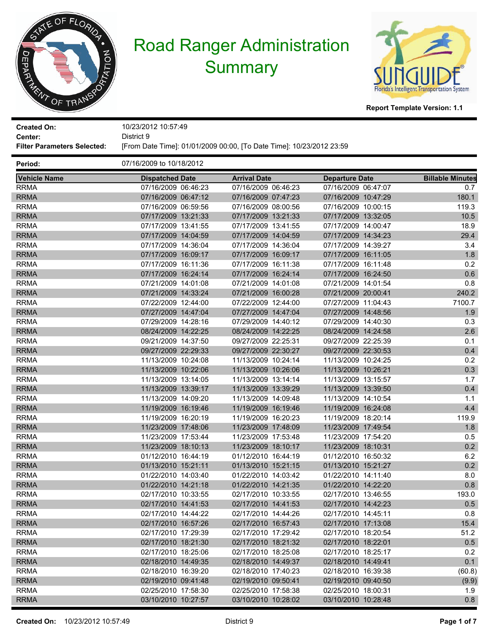



| <b>Created On:</b><br>Center:      | 10/23/2012 10:57:49<br>District 9                                    |                     |                       |                         |  |  |
|------------------------------------|----------------------------------------------------------------------|---------------------|-----------------------|-------------------------|--|--|
| <b>Filter Parameters Selected:</b> | [From Date Time]: 01/01/2009 00:00, [To Date Time]: 10/23/2012 23:59 |                     |                       |                         |  |  |
| Period:                            | 07/16/2009 to 10/18/2012                                             |                     |                       |                         |  |  |
| <b>Vehicle Name</b>                | <b>Dispatched Date</b>                                               | <b>Arrival Date</b> | <b>Departure Date</b> | <b>Billable Minutes</b> |  |  |
| <b>RRMA</b>                        | 07/16/2009 06:46:23                                                  | 07/16/2009 06:46:23 | 07/16/2009 06:47:07   | 0.7                     |  |  |
| <b>RRMA</b>                        | 07/16/2009 06:47:12                                                  | 07/16/2009 07:47:23 | 07/16/2009 10:47:29   | 180.1                   |  |  |
| <b>RRMA</b>                        | 07/16/2009 06:59:56                                                  | 07/16/2009 08:00:56 | 07/16/2009 10:00:15   | 119.3                   |  |  |
| <b>RRMA</b>                        | 07/17/2009 13:21:33                                                  | 07/17/2009 13:21:33 | 07/17/2009 13:32:05   | 10.5                    |  |  |
| <b>RRMA</b>                        | 07/17/2009 13:41:55                                                  | 07/17/2009 13:41:55 | 07/17/2009 14:00:47   | 18.9                    |  |  |
| <b>RRMA</b>                        | 07/17/2009 14:04:59                                                  | 07/17/2009 14:04:59 | 07/17/2009 14:34:23   | 29.4                    |  |  |
| <b>RRMA</b>                        | 07/17/2009 14:36:04                                                  | 07/17/2009 14:36:04 | 07/17/2009 14:39:27   | 3.4                     |  |  |
| <b>RRMA</b>                        | 07/17/2009 16:09:17                                                  | 07/17/2009 16:09:17 | 07/17/2009 16:11:05   | 1.8                     |  |  |
| <b>RRMA</b>                        | 07/17/2009 16:11:36                                                  | 07/17/2009 16:11:38 | 07/17/2009 16:11:48   | 0.2                     |  |  |
| <b>RRMA</b>                        | 07/17/2009 16:24:14                                                  | 07/17/2009 16:24:14 | 07/17/2009 16:24:50   | 0.6                     |  |  |
| <b>RRMA</b>                        | 07/21/2009 14:01:08                                                  | 07/21/2009 14:01:08 | 07/21/2009 14:01:54   | 0.8                     |  |  |
| <b>RRMA</b>                        | 07/21/2009 14:33:24                                                  | 07/21/2009 16:00:28 | 07/21/2009 20:00:41   | 240.2                   |  |  |
| <b>RRMA</b>                        | 07/22/2009 12:44:00                                                  | 07/22/2009 12:44:00 | 07/27/2009 11:04:43   | 7100.7                  |  |  |
| <b>RRMA</b>                        | 07/27/2009 14:47:04                                                  | 07/27/2009 14:47:04 | 07/27/2009 14:48:56   | 1.9                     |  |  |
| <b>RRMA</b>                        | 07/29/2009 14:28:16                                                  | 07/29/2009 14:40:12 | 07/29/2009 14:40:30   | 0.3                     |  |  |
| <b>RRMA</b>                        | 08/24/2009 14:22:25                                                  | 08/24/2009 14:22:25 | 08/24/2009 14:24:58   | 2.6                     |  |  |
| <b>RRMA</b>                        | 09/21/2009 14:37:50                                                  | 09/27/2009 22:25:31 | 09/27/2009 22:25:39   | 0.1                     |  |  |
| <b>RRMA</b>                        | 09/27/2009 22:29:33                                                  | 09/27/2009 22:30:27 | 09/27/2009 22:30:53   | 0.4                     |  |  |
| <b>RRMA</b>                        | 11/13/2009 10:24:08                                                  | 11/13/2009 10:24:14 | 11/13/2009 10:24:25   | 0.2                     |  |  |
| <b>RRMA</b>                        | 11/13/2009 10:22:06                                                  | 11/13/2009 10:26:06 | 11/13/2009 10:26:21   | 0.3                     |  |  |
| <b>RRMA</b>                        | 11/13/2009 13:14:05                                                  | 11/13/2009 13:14:14 | 11/13/2009 13:15:57   | 1.7                     |  |  |
| <b>RRMA</b>                        | 11/13/2009 13:39:17                                                  | 11/13/2009 13:39:29 | 11/13/2009 13:39:50   | 0.4                     |  |  |
| <b>RRMA</b>                        | 11/13/2009 14:09:20                                                  | 11/13/2009 14:09:48 | 11/13/2009 14:10:54   | 1.1                     |  |  |
| <b>RRMA</b>                        | 11/19/2009 16:19:46                                                  | 11/19/2009 16:19:46 | 11/19/2009 16:24:08   | 4.4                     |  |  |
| <b>RRMA</b>                        | 11/19/2009 16:20:19                                                  | 11/19/2009 16:20:23 | 11/19/2009 18:20:14   | 119.9                   |  |  |
| <b>RRMA</b>                        | 11/23/2009 17:48:06                                                  | 11/23/2009 17:48:09 | 11/23/2009 17:49:54   | 1.8                     |  |  |
| <b>RRMA</b>                        | 11/23/2009 17:53:44                                                  | 11/23/2009 17:53:48 | 11/23/2009 17:54:20   | 0.5                     |  |  |
| <b>RRMA</b>                        | 11/23/2009 18:10:13                                                  | 11/23/2009 18:10:17 | 11/23/2009 18:10:31   | 0.2                     |  |  |
| <b>RRMA</b>                        | 01/12/2010 16:44:19                                                  | 01/12/2010 16:44:19 | 01/12/2010 16:50:32   | 6.2                     |  |  |
| <b>RRMA</b>                        | 01/13/2010 15:21:11                                                  | 01/13/2010 15:21:15 | 01/13/2010 15:21:27   | 0.2                     |  |  |
| <b>RRMA</b>                        | 01/22/2010 14:03:40                                                  | 01/22/2010 14:03:42 | 01/22/2010 14:11:40   | 8.0                     |  |  |
| RRMA                               | 01/22/2010 14:21:18                                                  | 01/22/2010 14:21:35 | 01/22/2010 14:22:20   | 0.8                     |  |  |
| <b>RRMA</b>                        | 02/17/2010 10:33:55                                                  | 02/17/2010 10:33:55 | 02/17/2010 13:46:55   | 193.0                   |  |  |
| <b>RRMA</b>                        | 02/17/2010 14:41:53                                                  | 02/17/2010 14:41:53 | 02/17/2010 14:42:23   | 0.5                     |  |  |
| <b>RRMA</b>                        | 02/17/2010 14:44:22                                                  | 02/17/2010 14:44:26 | 02/17/2010 14:45:11   | 0.8                     |  |  |
| <b>RRMA</b>                        | 02/17/2010 16:57:26                                                  | 02/17/2010 16:57:43 | 02/17/2010 17:13:08   | 15.4                    |  |  |
| <b>RRMA</b>                        | 02/17/2010 17:29:39                                                  | 02/17/2010 17:29:42 | 02/17/2010 18:20:54   | 51.2                    |  |  |
| <b>RRMA</b>                        | 02/17/2010 18:21:30                                                  | 02/17/2010 18:21:32 | 02/17/2010 18:22:01   | 0.5                     |  |  |
| <b>RRMA</b>                        | 02/17/2010 18:25:06                                                  | 02/17/2010 18:25:08 | 02/17/2010 18:25:17   | 0.2                     |  |  |
| <b>RRMA</b>                        | 02/18/2010 14:49:35                                                  | 02/18/2010 14:49:37 | 02/18/2010 14:49:41   | 0.1                     |  |  |
| <b>RRMA</b>                        | 02/18/2010 16:39:20                                                  | 02/18/2010 17:40:23 | 02/18/2010 16:39:38   | (60.8)                  |  |  |
| <b>RRMA</b>                        | 02/19/2010 09:41:48                                                  | 02/19/2010 09:50:41 | 02/19/2010 09:40:50   | (9.9)                   |  |  |
| <b>RRMA</b>                        | 02/25/2010 17:58:30                                                  | 02/25/2010 17:58:38 | 02/25/2010 18:00:31   | 1.9                     |  |  |
| <b>RRMA</b>                        | 03/10/2010 10:27:57                                                  | 03/10/2010 10:28:02 | 03/10/2010 10:28:48   | 0.8                     |  |  |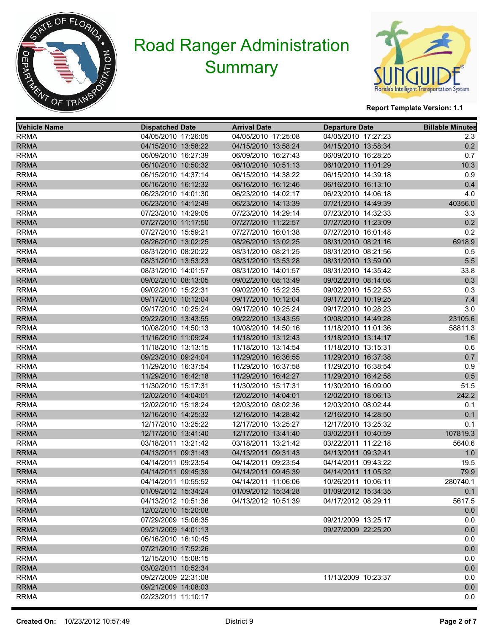



| <b>Vehicle Name</b> | <b>Dispatched Date</b> | <b>Arrival Date</b> |                     | <b>Departure Date</b> | <b>Billable Minutes</b> |
|---------------------|------------------------|---------------------|---------------------|-----------------------|-------------------------|
| <b>RRMA</b>         | 04/05/2010 17:26:05    |                     | 04/05/2010 17:25:08 | 04/05/2010 17:27:23   | 2.3                     |
| <b>RRMA</b>         | 04/15/2010 13:58:22    |                     | 04/15/2010 13:58:24 | 04/15/2010 13:58:34   | 0.2                     |
| <b>RRMA</b>         | 06/09/2010 16:27:39    |                     | 06/09/2010 16:27:43 | 06/09/2010 16:28:25   | 0.7                     |
| <b>RRMA</b>         | 06/10/2010 10:50:32    |                     | 06/10/2010 10:51:13 | 06/10/2010 11:01:29   | 10.3                    |
| <b>RRMA</b>         | 06/15/2010 14:37:14    |                     | 06/15/2010 14:38:22 | 06/15/2010 14:39:18   | 0.9                     |
| <b>RRMA</b>         | 06/16/2010 16:12:32    |                     | 06/16/2010 16:12:46 | 06/16/2010 16:13:10   | 0.4                     |
| <b>RRMA</b>         | 06/23/2010 14:01:30    |                     | 06/23/2010 14:02:17 | 06/23/2010 14:06:18   | 4.0                     |
| <b>RRMA</b>         | 06/23/2010 14:12:49    |                     | 06/23/2010 14:13:39 | 07/21/2010 14:49:39   | 40356.0                 |
| <b>RRMA</b>         | 07/23/2010 14:29:05    |                     | 07/23/2010 14:29:14 | 07/23/2010 14:32:33   | 3.3                     |
| <b>RRMA</b>         | 07/27/2010 11:17:50    |                     | 07/27/2010 11:22:57 | 07/27/2010 11:23:09   | 0.2                     |
| <b>RRMA</b>         | 07/27/2010 15:59:21    |                     | 07/27/2010 16:01:38 | 07/27/2010 16:01:48   | 0.2                     |
| <b>RRMA</b>         | 08/26/2010 13:02:25    |                     | 08/26/2010 13:02:25 | 08/31/2010 08:21:16   | 6918.9                  |
| <b>RRMA</b>         | 08/31/2010 08:20:22    |                     | 08/31/2010 08:21:25 | 08/31/2010 08:21:56   | 0.5                     |
| <b>RRMA</b>         | 08/31/2010 13:53:23    |                     | 08/31/2010 13:53:28 | 08/31/2010 13:59:00   | $5.5\,$                 |
| <b>RRMA</b>         | 08/31/2010 14:01:57    |                     | 08/31/2010 14:01:57 | 08/31/2010 14:35:42   | 33.8                    |
| <b>RRMA</b>         | 09/02/2010 08:13:05    |                     | 09/02/2010 08:13:49 | 09/02/2010 08:14:08   | 0.3                     |
| <b>RRMA</b>         | 09/02/2010 15:22:31    |                     | 09/02/2010 15:22:35 | 09/02/2010 15:22:53   | 0.3                     |
| <b>RRMA</b>         | 09/17/2010 10:12:04    |                     | 09/17/2010 10:12:04 | 09/17/2010 10:19:25   | 7.4                     |
| <b>RRMA</b>         | 09/17/2010 10:25:24    |                     | 09/17/2010 10:25:24 | 09/17/2010 10:28:23   | 3.0                     |
| <b>RRMA</b>         | 09/22/2010 13:43:55    |                     | 09/22/2010 13:43:55 | 10/08/2010 14:49:28   | 23105.6                 |
| <b>RRMA</b>         | 10/08/2010 14:50:13    |                     | 10/08/2010 14:50:16 | 11/18/2010 11:01:36   | 58811.3                 |
| <b>RRMA</b>         | 11/16/2010 11:09:24    |                     | 11/18/2010 13:12:43 | 11/18/2010 13:14:17   | 1.6                     |
| <b>RRMA</b>         | 11/18/2010 13:13:15    |                     | 11/18/2010 13:14:54 | 11/18/2010 13:15:31   | 0.6                     |
| <b>RRMA</b>         | 09/23/2010 09:24:04    |                     | 11/29/2010 16:36:55 | 11/29/2010 16:37:38   | 0.7                     |
| <b>RRMA</b>         | 11/29/2010 16:37:54    |                     | 11/29/2010 16:37:58 | 11/29/2010 16:38:54   | 0.9                     |
| <b>RRMA</b>         | 11/29/2010 16:42:18    |                     | 11/29/2010 16:42:27 | 11/29/2010 16:42:58   | 0.5                     |
| <b>RRMA</b>         | 11/30/2010 15:17:31    |                     | 11/30/2010 15:17:31 | 11/30/2010 16:09:00   | 51.5                    |
| <b>RRMA</b>         | 12/02/2010 14:04:01    |                     | 12/02/2010 14:04:01 | 12/02/2010 18:06:13   | 242.2                   |
| <b>RRMA</b>         | 12/02/2010 15:18:24    |                     | 12/03/2010 08:02:36 | 12/03/2010 08:02:44   | 0.1                     |
| <b>RRMA</b>         | 12/16/2010 14:25:32    |                     | 12/16/2010 14:28:42 | 12/16/2010 14:28:50   | 0.1                     |
| <b>RRMA</b>         | 12/17/2010 13:25:22    |                     | 12/17/2010 13:25:27 | 12/17/2010 13:25:32   | 0.1                     |
| <b>RRMA</b>         | 12/17/2010 13:41:40    |                     | 12/17/2010 13:41:40 | 03/02/2011 10:40:59   | 107819.3                |
| <b>RRMA</b>         | 03/18/2011 13:21:42    |                     | 03/18/2011 13:21:42 | 03/22/2011 11:22:18   | 5640.6                  |
| <b>RRMA</b>         | 04/13/2011 09:31:43    |                     | 04/13/2011 09:31:43 | 04/13/2011 09:32:41   | 1.0                     |
| <b>RRMA</b>         | 04/14/2011 09:23:54    |                     | 04/14/2011 09:23:54 | 04/14/2011 09:43:22   | 19.5                    |
| <b>RRMA</b>         | 04/14/2011 09:45:39    |                     | 04/14/2011 09:45:39 | 04/14/2011 11:05:32   | 79.9                    |
| <b>RRMA</b>         | 04/14/2011 10:55:52    |                     | 04/14/2011 11:06:06 | 10/26/2011 10:06:11   | 280740.1                |
| <b>RRMA</b>         | 01/09/2012 15:34:24    |                     | 01/09/2012 15:34:28 | 01/09/2012 15:34:35   | 0.1                     |
| <b>RRMA</b>         | 04/13/2012 10:51:36    |                     | 04/13/2012 10:51:39 | 04/17/2012 08:29:11   | 5617.5                  |
| <b>RRMA</b>         | 12/02/2010 15:20:08    |                     |                     |                       | 0.0                     |
| <b>RRMA</b>         | 07/29/2009 15:06:35    |                     |                     | 09/21/2009 13:25:17   | 0.0                     |
| <b>RRMA</b>         | 09/21/2009 14:01:13    |                     |                     | 09/27/2009 22:25:20   | 0.0                     |
| <b>RRMA</b>         | 06/16/2010 16:10:45    |                     |                     |                       | 0.0                     |
| <b>RRMA</b>         | 07/21/2010 17:52:26    |                     |                     |                       | 0.0                     |
| <b>RRMA</b>         | 12/15/2010 15:08:15    |                     |                     |                       | 0.0                     |
| <b>RRMA</b>         | 03/02/2011 10:52:34    |                     |                     |                       | 0.0                     |
| <b>RRMA</b>         | 09/27/2009 22:31:08    |                     |                     | 11/13/2009 10:23:37   | 0.0                     |
| <b>RRMA</b>         | 09/21/2009 14:08:03    |                     |                     |                       | 0.0                     |
| <b>RRMA</b>         | 02/23/2011 11:10:17    |                     |                     |                       | 0.0                     |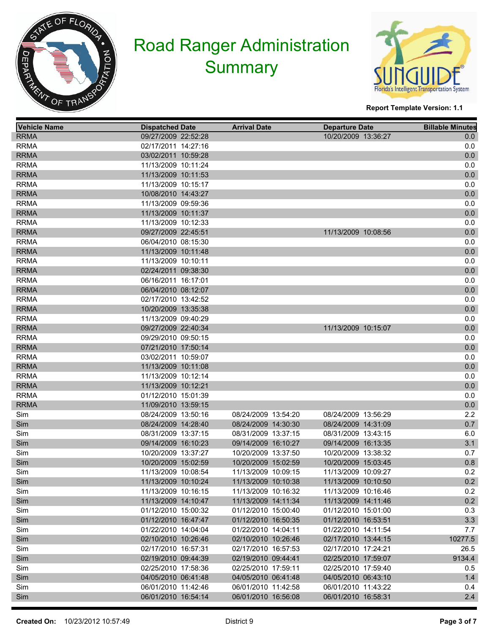



| <b>Vehicle Name</b> | <b>Dispatched Date</b> | <b>Arrival Date</b> | <b>Departure Date</b> | <b>Billable Minutes</b> |
|---------------------|------------------------|---------------------|-----------------------|-------------------------|
| <b>RRMA</b>         | 09/27/2009 22:52:28    |                     | 10/20/2009 13:36:27   | 0.0                     |
| <b>RRMA</b>         | 02/17/2011 14:27:16    |                     |                       | 0.0                     |
| <b>RRMA</b>         | 03/02/2011 10:59:28    |                     |                       | $0.0\,$                 |
| <b>RRMA</b>         | 11/13/2009 10:11:24    |                     |                       | 0.0                     |
| <b>RRMA</b>         | 11/13/2009 10:11:53    |                     |                       | $0.0\,$                 |
| <b>RRMA</b>         | 11/13/2009 10:15:17    |                     |                       | 0.0                     |
| <b>RRMA</b>         | 10/08/2010 14:43:27    |                     |                       | 0.0                     |
| <b>RRMA</b>         | 11/13/2009 09:59:36    |                     |                       | 0.0                     |
| <b>RRMA</b>         | 11/13/2009 10:11:37    |                     |                       | $0.0\,$                 |
| <b>RRMA</b>         | 11/13/2009 10:12:33    |                     |                       | 0.0                     |
| <b>RRMA</b>         | 09/27/2009 22:45:51    |                     | 11/13/2009 10:08:56   | $0.0\,$                 |
| <b>RRMA</b>         | 06/04/2010 08:15:30    |                     |                       | 0.0                     |
| <b>RRMA</b>         | 11/13/2009 10:11:48    |                     |                       | 0.0                     |
| <b>RRMA</b>         | 11/13/2009 10:10:11    |                     |                       | 0.0                     |
| <b>RRMA</b>         | 02/24/2011 09:38:30    |                     |                       | $0.0\,$                 |
| <b>RRMA</b>         | 06/16/2011 16:17:01    |                     |                       | 0.0                     |
| <b>RRMA</b>         | 06/04/2010 08:12:07    |                     |                       | 0.0                     |
| <b>RRMA</b>         | 02/17/2010 13:42:52    |                     |                       | 0.0                     |
| <b>RRMA</b>         | 10/20/2009 13:35:38    |                     |                       | $0.0\,$                 |
| <b>RRMA</b>         | 11/13/2009 09:40:29    |                     |                       | 0.0                     |
| <b>RRMA</b>         | 09/27/2009 22:40:34    |                     | 11/13/2009 10:15:07   | $0.0\,$                 |
| <b>RRMA</b>         | 09/29/2010 09:50:15    |                     |                       | 0.0                     |
| <b>RRMA</b>         | 07/21/2010 17:50:14    |                     |                       | 0.0                     |
| <b>RRMA</b>         | 03/02/2011 10:59:07    |                     |                       | 0.0                     |
| <b>RRMA</b>         | 11/13/2009 10:11:08    |                     |                       | $0.0\,$                 |
| <b>RRMA</b>         | 11/13/2009 10:12:14    |                     |                       | 0.0                     |
| <b>RRMA</b>         | 11/13/2009 10:12:21    |                     |                       | 0.0                     |
| <b>RRMA</b>         | 01/12/2010 15:01:39    |                     |                       | 0.0                     |
| <b>RRMA</b>         | 11/09/2010 13:59:15    |                     |                       | 0.0                     |
| Sim                 | 08/24/2009 13:50:16    | 08/24/2009 13:54:20 | 08/24/2009 13:56:29   | 2.2                     |
| Sim                 | 08/24/2009 14:28:40    | 08/24/2009 14:30:30 | 08/24/2009 14:31:09   | 0.7                     |
| Sim                 | 08/31/2009 13:37:15    | 08/31/2009 13:37:15 | 08/31/2009 13:43:15   | 6.0                     |
| Sim                 | 09/14/2009 16:10:23    | 09/14/2009 16:10:27 | 09/14/2009 16:13:35   | 3.1                     |
| Sim                 | 10/20/2009 13:37:27    | 10/20/2009 13:37:50 | 10/20/2009 13:38:32   | 0.7                     |
| Sim                 | 10/20/2009 15:02:59    | 10/20/2009 15:02:59 | 10/20/2009 15:03:45   | 0.8                     |
| Sim                 | 11/13/2009 10:08:54    | 11/13/2009 10:09:15 | 11/13/2009 10:09:27   | 0.2                     |
| Sim                 | 11/13/2009 10:10:24    | 11/13/2009 10:10:38 | 11/13/2009 10:10:50   | 0.2                     |
| Sim                 | 11/13/2009 10:16:15    | 11/13/2009 10:16:32 | 11/13/2009 10:16:46   | 0.2                     |
| Sim                 | 11/13/2009 14:10:47    | 11/13/2009 14:11:34 | 11/13/2009 14:11:46   | 0.2                     |
| Sim                 | 01/12/2010 15:00:32    | 01/12/2010 15:00:40 | 01/12/2010 15:01:00   | 0.3                     |
| Sim                 | 01/12/2010 16:47:47    | 01/12/2010 16:50:35 | 01/12/2010 16:53:51   | 3.3                     |
| Sim                 | 01/22/2010 14:04:04    | 01/22/2010 14:04:11 | 01/22/2010 14:11:54   | 7.7                     |
| Sim                 | 02/10/2010 10:26:46    | 02/10/2010 10:26:46 | 02/17/2010 13:44:15   | 10277.5                 |
| Sim                 | 02/17/2010 16:57:31    | 02/17/2010 16:57:53 | 02/17/2010 17:24:21   | 26.5                    |
| Sim                 | 02/19/2010 09:44:39    | 02/19/2010 09:44:41 | 02/25/2010 17:59:07   | 9134.4                  |
| Sim                 | 02/25/2010 17:58:36    | 02/25/2010 17:59:11 | 02/25/2010 17:59:40   | 0.5                     |
| Sim                 | 04/05/2010 06:41:48    | 04/05/2010 06:41:48 | 04/05/2010 06:43:10   | 1.4                     |
| Sim                 | 06/01/2010 11:42:46    | 06/01/2010 11:42:58 | 06/01/2010 11:43:22   | 0.4                     |
| Sim                 | 06/01/2010 16:54:14    | 06/01/2010 16:56:08 | 06/01/2010 16:58:31   | 2.4                     |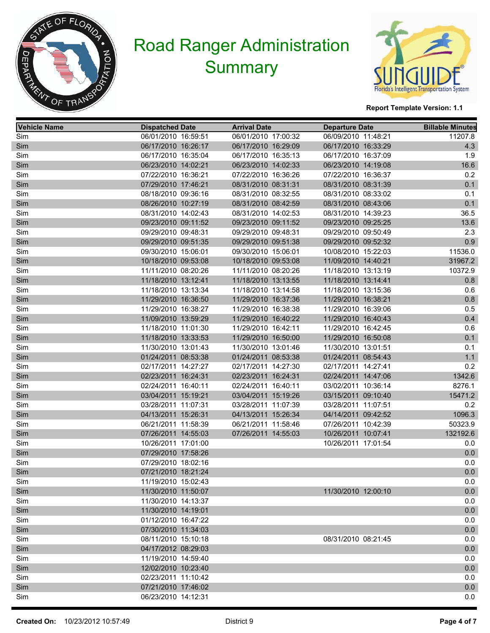



| <b>Vehicle Name</b> | <b>Dispatched Date</b> | <b>Arrival Date</b> | <b>Departure Date</b> | <b>Billable Minutes</b> |
|---------------------|------------------------|---------------------|-----------------------|-------------------------|
| Sim                 | 06/01/2010 16:59:51    | 06/01/2010 17:00:32 | 06/09/2010 11:48:21   | 11207.8                 |
| Sim                 | 06/17/2010 16:26:17    | 06/17/2010 16:29:09 | 06/17/2010 16:33:29   | 4.3                     |
| Sim                 | 06/17/2010 16:35:04    | 06/17/2010 16:35:13 | 06/17/2010 16:37:09   | 1.9                     |
| Sim                 | 06/23/2010 14:02:21    | 06/23/2010 14:02:33 | 06/23/2010 14:19:08   | 16.6                    |
| Sim                 | 07/22/2010 16:36:21    | 07/22/2010 16:36:26 | 07/22/2010 16:36:37   | 0.2                     |
| Sim                 | 07/29/2010 17:46:21    | 08/31/2010 08:31:31 | 08/31/2010 08:31:39   | 0.1                     |
| Sim                 | 08/18/2010 09:36:16    | 08/31/2010 08:32:55 | 08/31/2010 08:33:02   | 0.1                     |
| Sim                 | 08/26/2010 10:27:19    | 08/31/2010 08:42:59 | 08/31/2010 08:43:06   | 0.1                     |
| Sim                 | 08/31/2010 14:02:43    | 08/31/2010 14:02:53 | 08/31/2010 14:39:23   | 36.5                    |
| Sim                 | 09/23/2010 09:11:52    | 09/23/2010 09:11:52 | 09/23/2010 09:25:25   | 13.6                    |
| Sim                 | 09/29/2010 09:48:31    | 09/29/2010 09:48:31 | 09/29/2010 09:50:49   | 2.3                     |
| Sim                 | 09/29/2010 09:51:35    | 09/29/2010 09:51:38 | 09/29/2010 09:52:32   | 0.9                     |
| Sim                 | 09/30/2010 15:06:01    | 09/30/2010 15:06:01 | 10/08/2010 15:22:03   | 11536.0                 |
| Sim                 | 10/18/2010 09:53:08    | 10/18/2010 09:53:08 | 11/09/2010 14:40:21   | 31967.2                 |
| Sim                 | 11/11/2010 08:20:26    | 11/11/2010 08:20:26 | 11/18/2010 13:13:19   | 10372.9                 |
| Sim                 | 11/18/2010 13:12:41    | 11/18/2010 13:13:55 | 11/18/2010 13:14:41   | 0.8                     |
| Sim                 | 11/18/2010 13:13:34    | 11/18/2010 13:14:58 | 11/18/2010 13:15:36   | 0.6                     |
| Sim                 | 11/29/2010 16:36:50    | 11/29/2010 16:37:36 | 11/29/2010 16:38:21   | $0.8\,$                 |
| Sim                 | 11/29/2010 16:38:27    | 11/29/2010 16:38:38 | 11/29/2010 16:39:06   | 0.5                     |
| Sim                 | 11/09/2010 13:59:29    | 11/29/2010 16:40:22 | 11/29/2010 16:40:43   | 0.4                     |
| Sim                 | 11/18/2010 11:01:30    | 11/29/2010 16:42:11 | 11/29/2010 16:42:45   | 0.6                     |
| Sim                 | 11/18/2010 13:33:53    | 11/29/2010 16:50:00 | 11/29/2010 16:50:08   | 0.1                     |
| Sim                 | 11/30/2010 13:01:43    | 11/30/2010 13:01:46 | 11/30/2010 13:01:51   | 0.1                     |
| Sim                 | 01/24/2011 08:53:38    | 01/24/2011 08:53:38 | 01/24/2011 08:54:43   | 1.1                     |
| Sim                 | 02/17/2011 14:27:27    | 02/17/2011 14:27:30 | 02/17/2011 14:27:41   | 0.2                     |
| Sim                 | 02/23/2011 16:24:31    | 02/23/2011 16:24:31 | 02/24/2011 14:47:06   | 1342.6                  |
| Sim                 | 02/24/2011 16:40:11    | 02/24/2011 16:40:11 | 03/02/2011 10:36:14   | 8276.1                  |
| Sim                 | 03/04/2011 15:19:21    | 03/04/2011 15:19:26 | 03/15/2011 09:10:40   | 15471.2                 |
| Sim                 | 03/28/2011 11:07:31    | 03/28/2011 11:07:39 | 03/28/2011 11:07:51   | 0.2                     |
| Sim                 | 04/13/2011 15:26:31    | 04/13/2011 15:26:34 | 04/14/2011 09:42:52   | 1096.3                  |
| Sim                 | 06/21/2011 11:58:39    | 06/21/2011 11:58:46 | 07/26/2011 10:42:39   | 50323.9                 |
| Sim                 | 07/26/2011 14:55:03    | 07/26/2011 14:55:03 | 10/26/2011 10:07:41   | 132192.6                |
| Sim                 | 10/26/2011 17:01:00    |                     | 10/26/2011 17:01:54   | 0.0                     |
| Sim                 | 07/29/2010 17:58:26    |                     |                       | 0.0                     |
| Sim                 | 07/29/2010 18:02:16    |                     |                       | 0.0                     |
| Sim                 | 07/21/2010 18:21:24    |                     |                       | 0.0                     |
| Sim                 | 11/19/2010 15:02:43    |                     |                       | 0.0                     |
| Sim                 | 11/30/2010 11:50:07    |                     | 11/30/2010 12:00:10   | $0.0\,$                 |
| Sim                 | 11/30/2010 14:13:37    |                     |                       | 0.0                     |
| Sim                 | 11/30/2010 14:19:01    |                     |                       | $0.0\,$                 |
| Sim                 | 01/12/2010 16:47:22    |                     |                       | 0.0                     |
| Sim                 | 07/30/2010 11:34:03    |                     |                       | 0.0                     |
| Sim                 | 08/11/2010 15:10:18    |                     | 08/31/2010 08:21:45   | 0.0                     |
| Sim                 | 04/17/2012 08:29:03    |                     |                       | 0.0                     |
| Sim                 | 11/19/2010 14:59:40    |                     |                       | 0.0                     |
| Sim                 | 12/02/2010 10:23:40    |                     |                       | 0.0                     |
| Sim                 | 02/23/2011 11:10:42    |                     |                       | 0.0                     |
| Sim                 | 07/21/2010 17:46:02    |                     |                       | 0.0                     |
| Sim                 | 06/23/2010 14:12:31    |                     |                       | 0.0                     |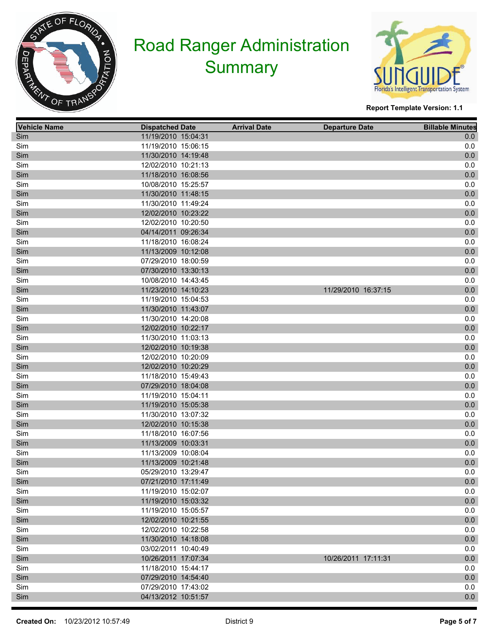



| <b>Vehicle Name</b> | <b>Dispatched Date</b> | <b>Arrival Date</b> | <b>Departure Date</b> | <b>Billable Minutes</b> |
|---------------------|------------------------|---------------------|-----------------------|-------------------------|
| Sim                 | 11/19/2010 15:04:31    |                     |                       | 0.0                     |
| Sim                 | 11/19/2010 15:06:15    |                     |                       | 0.0                     |
| Sim                 | 11/30/2010 14:19:48    |                     |                       | $0.0\,$                 |
| Sim                 | 12/02/2010 10:21:13    |                     |                       | 0.0                     |
| Sim                 | 11/18/2010 16:08:56    |                     |                       | $0.0\,$                 |
| Sim                 | 10/08/2010 15:25:57    |                     |                       | 0.0                     |
| Sim                 | 11/30/2010 11:48:15    |                     |                       | $0.0\,$                 |
| Sim                 | 11/30/2010 11:49:24    |                     |                       | 0.0                     |
| Sim                 | 12/02/2010 10:23:22    |                     |                       | $0.0\,$                 |
| Sim                 | 12/02/2010 10:20:50    |                     |                       | 0.0                     |
| Sim                 | 04/14/2011 09:26:34    |                     |                       | $0.0\,$                 |
| Sim                 | 11/18/2010 16:08:24    |                     |                       | 0.0                     |
| Sim                 | 11/13/2009 10:12:08    |                     |                       | $0.0\,$                 |
| Sim                 | 07/29/2010 18:00:59    |                     |                       | 0.0                     |
| Sim                 | 07/30/2010 13:30:13    |                     |                       | $0.0\,$                 |
| Sim                 | 10/08/2010 14:43:45    |                     |                       | 0.0                     |
| Sim                 | 11/23/2010 14:10:23    |                     | 11/29/2010 16:37:15   | $0.0\,$                 |
| Sim                 | 11/19/2010 15:04:53    |                     |                       | 0.0                     |
| Sim                 | 11/30/2010 11:43:07    |                     |                       | $0.0\,$                 |
| Sim                 | 11/30/2010 14:20:08    |                     |                       | 0.0                     |
| Sim                 | 12/02/2010 10:22:17    |                     |                       | $0.0\,$                 |
| Sim                 | 11/30/2010 11:03:13    |                     |                       | 0.0                     |
| Sim                 | 12/02/2010 10:19:38    |                     |                       | $0.0\,$                 |
| Sim                 | 12/02/2010 10:20:09    |                     |                       | 0.0                     |
| Sim                 | 12/02/2010 10:20:29    |                     |                       | $0.0\,$                 |
| Sim                 | 11/18/2010 15:49:43    |                     |                       | 0.0                     |
| Sim                 | 07/29/2010 18:04:08    |                     |                       | $0.0\,$                 |
| Sim                 | 11/19/2010 15:04:11    |                     |                       | 0.0                     |
| Sim                 | 11/19/2010 15:05:38    |                     |                       | $0.0\,$                 |
| Sim                 | 11/30/2010 13:07:32    |                     |                       | 0.0                     |
| Sim                 | 12/02/2010 10:15:38    |                     |                       | $0.0\,$                 |
| Sim                 | 11/18/2010 16:07:56    |                     |                       | 0.0                     |
| Sim                 | 11/13/2009 10:03:31    |                     |                       | $0.0\,$                 |
| Sim                 | 11/13/2009 10:08:04    |                     |                       | 0.0                     |
| Sim                 | 11/13/2009 10:21:48    |                     |                       | 0.0                     |
| Sim                 | 05/29/2010 13:29:47    |                     |                       | 0.0                     |
| Sim                 | 07/21/2010 17:11:49    |                     |                       | 0.0                     |
| Sim                 | 11/19/2010 15:02:07    |                     |                       | 0.0                     |
| Sim                 | 11/19/2010 15:03:32    |                     |                       | $0.0\,$                 |
| Sim                 | 11/19/2010 15:05:57    |                     |                       | 0.0                     |
| Sim                 | 12/02/2010 10:21:55    |                     |                       | $0.0\,$                 |
| Sim                 | 12/02/2010 10:22:58    |                     |                       | 0.0                     |
| Sim                 | 11/30/2010 14:18:08    |                     |                       | $0.0\,$                 |
| Sim                 | 03/02/2011 10:40:49    |                     |                       | 0.0                     |
| Sim                 | 10/26/2011 17:07:34    |                     | 10/26/2011 17:11:31   | $0.0\,$                 |
| Sim                 | 11/18/2010 15:44:17    |                     |                       | 0.0                     |
| Sim                 | 07/29/2010 14:54:40    |                     |                       | $0.0\,$                 |
| Sim                 | 07/29/2010 17:43:02    |                     |                       | 0.0                     |
| Sim                 | 04/13/2012 10:51:57    |                     |                       | $0.0\,$                 |
|                     |                        |                     |                       |                         |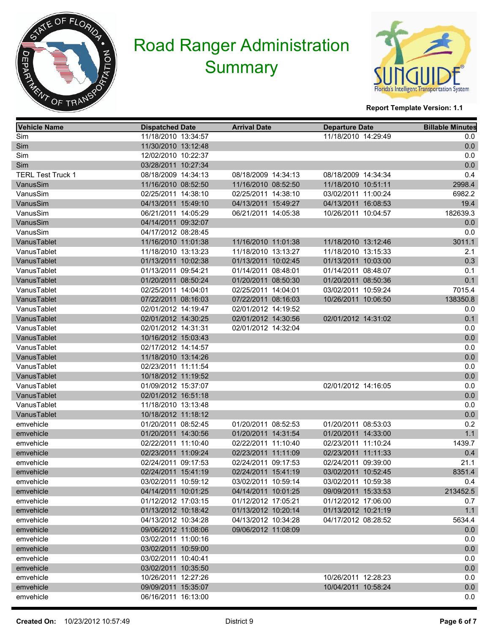



| <b>Vehicle Name</b>      | <b>Dispatched Date</b> | <b>Arrival Date</b> | <b>Departure Date</b> | <b>Billable Minutes</b> |
|--------------------------|------------------------|---------------------|-----------------------|-------------------------|
| Sim                      | 11/18/2010 13:34:57    |                     | 11/18/2010 14:29:49   | 0.0                     |
| Sim                      | 11/30/2010 13:12:48    |                     |                       | 0.0                     |
| Sim                      | 12/02/2010 10:22:37    |                     |                       | 0.0                     |
| Sim                      | 03/28/2011 10:27:34    |                     |                       | 0.0                     |
| <b>TERL Test Truck 1</b> | 08/18/2009 14:34:13    | 08/18/2009 14:34:13 | 08/18/2009 14:34:34   | 0.4                     |
| VanusSim                 | 11/16/2010 08:52:50    | 11/16/2010 08:52:50 | 11/18/2010 10:51:11   | 2998.4                  |
| VanusSim                 | 02/25/2011 14:38:10    | 02/25/2011 14:38:10 | 03/02/2011 11:00:24   | 6982.2                  |
| VanusSim                 | 04/13/2011 15:49:10    | 04/13/2011 15:49:27 | 04/13/2011 16:08:53   | 19.4                    |
| VanusSim                 | 06/21/2011 14:05:29    | 06/21/2011 14:05:38 | 10/26/2011 10:04:57   | 182639.3                |
| VanusSim                 | 04/14/2011 09:32:07    |                     |                       | 0.0                     |
| VanusSim                 | 04/17/2012 08:28:45    |                     |                       | 0.0                     |
| VanusTablet              | 11/16/2010 11:01:38    | 11/16/2010 11:01:38 | 11/18/2010 13:12:46   | 3011.1                  |
| VanusTablet              | 11/18/2010 13:13:23    | 11/18/2010 13:13:27 | 11/18/2010 13:15:33   | 2.1                     |
| VanusTablet              | 01/13/2011 10:02:38    | 01/13/2011 10:02:45 | 01/13/2011 10:03:00   | 0.3                     |
| VanusTablet              | 01/13/2011 09:54:21    | 01/14/2011 08:48:01 | 01/14/2011 08:48:07   | 0.1                     |
| VanusTablet              | 01/20/2011 08:50:24    | 01/20/2011 08:50:30 | 01/20/2011 08:50:36   | 0.1                     |
| VanusTablet              | 02/25/2011 14:04:01    | 02/25/2011 14:04:01 | 03/02/2011 10:59:24   | 7015.4                  |
| VanusTablet              | 07/22/2011 08:16:03    | 07/22/2011 08:16:03 | 10/26/2011 10:06:50   | 138350.8                |
| VanusTablet              | 02/01/2012 14:19:47    | 02/01/2012 14:19:52 |                       | 0.0                     |
| VanusTablet              | 02/01/2012 14:30:25    | 02/01/2012 14:30:56 | 02/01/2012 14:31:02   | 0.1                     |
| VanusTablet              | 02/01/2012 14:31:31    | 02/01/2012 14:32:04 |                       | 0.0                     |
| VanusTablet              | 10/16/2012 15:03:43    |                     |                       | 0.0                     |
| VanusTablet              | 02/17/2012 14:14:57    |                     |                       | 0.0                     |
| VanusTablet              | 11/18/2010 13:14:26    |                     |                       | 0.0                     |
| VanusTablet              | 02/23/2011 11:11:54    |                     |                       | 0.0                     |
| VanusTablet              | 10/18/2012 11:19:52    |                     |                       | 0.0                     |
| VanusTablet              | 01/09/2012 15:37:07    |                     | 02/01/2012 14:16:05   | 0.0                     |
| VanusTablet              | 02/01/2012 16:51:18    |                     |                       | 0.0                     |
| VanusTablet              | 11/18/2010 13:13:48    |                     |                       | 0.0                     |
| VanusTablet              | 10/18/2012 11:18:12    |                     |                       | 0.0                     |
| emvehicle                | 01/20/2011 08:52:45    | 01/20/2011 08:52:53 | 01/20/2011 08:53:03   | 0.2                     |
| emvehicle                | 01/20/2011 14:30:56    | 01/20/2011 14:31:54 | 01/20/2011 14:33:00   | 1.1                     |
| emvehicle                | 02/22/2011 11:10:40    | 02/22/2011 11:10:40 | 02/23/2011 11:10:24   | 1439.7                  |
| emvehicle                | 02/23/2011 11:09:24    | 02/23/2011 11:11:09 | 02/23/2011 11:11:33   | 0.4                     |
| emvehicle                | 02/24/2011 09:17:53    | 02/24/2011 09:17:53 | 02/24/2011 09:39:00   | 21.1                    |
| emvehicle                | 02/24/2011 15:41:19    | 02/24/2011 15:41:19 | 03/02/2011 10:52:45   | 8351.4                  |
| emvehicle                | 03/02/2011 10:59:12    | 03/02/2011 10:59:14 | 03/02/2011 10:59:38   | 0.4                     |
| emvehicle                | 04/14/2011 10:01:25    | 04/14/2011 10:01:25 | 09/09/2011 15:33:53   | 213452.5                |
| emvehicle                | 01/12/2012 17:03:15    | 01/12/2012 17:05:21 | 01/12/2012 17:06:00   | 0.7                     |
| emvehicle                | 01/13/2012 10:18:42    | 01/13/2012 10:20:14 | 01/13/2012 10:21:19   | 1.1                     |
| emvehicle                | 04/13/2012 10:34:28    | 04/13/2012 10:34:28 | 04/17/2012 08:28:52   | 5634.4                  |
| emvehicle                | 09/06/2012 11:08:06    | 09/06/2012 11:08:09 |                       | 0.0                     |
| emvehicle                | 03/02/2011 11:00:16    |                     |                       | 0.0                     |
| emvehicle                | 03/02/2011 10:59:00    |                     |                       | $0.0\,$                 |
| emvehicle                | 03/02/2011 10:40:41    |                     |                       | 0.0                     |
| emvehicle                | 03/02/2011 10:35:50    |                     |                       | 0.0                     |
| emvehicle                | 10/26/2011 12:27:26    |                     | 10/26/2011 12:28:23   | 0.0                     |
| emvehicle                | 09/09/2011 15:35:07    |                     | 10/04/2011 10:58:24   | 0.0                     |
| emvehicle                | 06/16/2011 16:13:00    |                     |                       | 0.0                     |